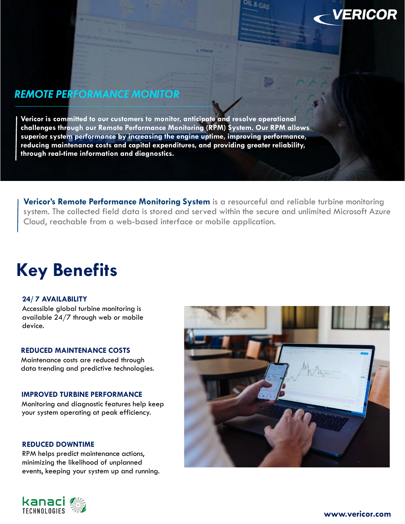## *REMOTE PERFORMANCE MONITOR*

**Vericor is committed to our customers to monitor, anticipate and resolve operational challenges through our Remote Performance Monitoring (RPM) System. Our RPM allows superior system performance by increasing the engine uptime, improving performance, reducing maintenance costs and capital expenditures, and providing greater reliability, through real-time information and diagnostics.**

**Vericor's Remote Performance Monitoring System** is a resourceful and reliable turbine monitoring system. The collected field data is stored and served within the secure and unlimited Microsoft Azure Cloud, reachable from a web-based interface or mobile application.

# **Key Benefits**

### **24/ 7 AVAILABILITY**

Accessible global turbine monitoring is available 24/7 through web or mobile device.

### **REDUCED MAINTENANCE COSTS**

Maintenance costs are reduced through data trending and predictive technologies.

### **IMPROVED TURBINE PERFORMANCE**

Monitoring and diagnostic features help keep your system operating at peak efficiency.

#### **REDUCED DOWNTIME**

RPM helps predict maintenance actions, minimizing the likelihood of unplanned events, keeping your system up and running.





**VERICOR**